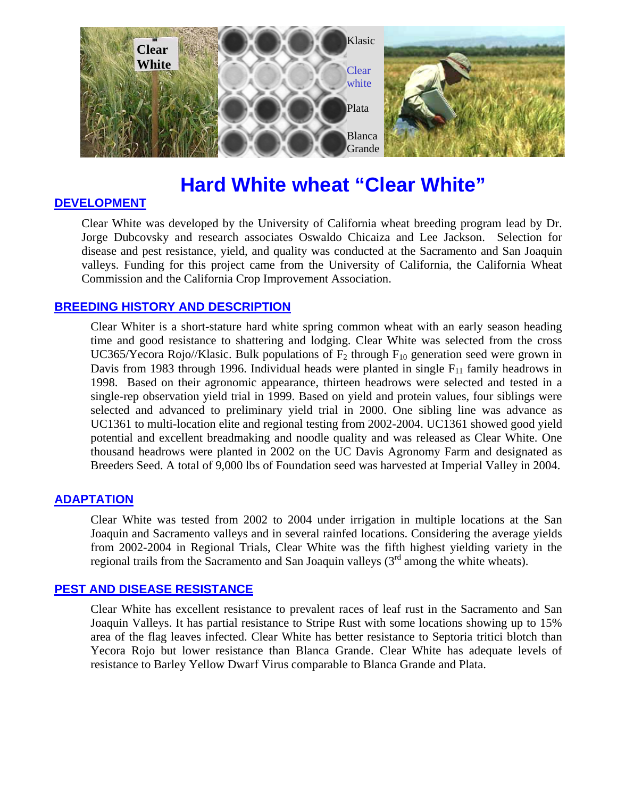

# **Hard White wheat "Clear White"**

# **DEVELOPMENT**

Clear White was developed by the University of California wheat breeding program lead by Dr. Jorge Dubcovsky and research associates Oswaldo Chicaiza and Lee Jackson. Selection for disease and pest resistance, yield, and quality was conducted at the Sacramento and San Joaquin valleys. Funding for this project came from the University of California, the California Wheat Commission and the California Crop Improvement Association.

# **BREEDING HISTORY AND DESCRIPTION**

Clear Whiter is a short-stature hard white spring common wheat with an early season heading time and good resistance to shattering and lodging. Clear White was selected from the cross UC365/Yecora Rojo//Klasic. Bulk populations of  $F_2$  through  $F_{10}$  generation seed were grown in Davis from 1983 through 1996. Individual heads were planted in single  $F_{11}$  family headrows in 1998. Based on their agronomic appearance, thirteen headrows were selected and tested in a single-rep observation yield trial in 1999. Based on yield and protein values, four siblings were selected and advanced to preliminary yield trial in 2000. One sibling line was advance as UC1361 to multi-location elite and regional testing from 2002-2004. UC1361 showed good yield potential and excellent breadmaking and noodle quality and was released as Clear White. One thousand headrows were planted in 2002 on the UC Davis Agronomy Farm and designated as Breeders Seed. A total of 9,000 lbs of Foundation seed was harvested at Imperial Valley in 2004.

## **ADAPTATION**

Clear White was tested from 2002 to 2004 under irrigation in multiple locations at the San Joaquin and Sacramento valleys and in several rainfed locations. Considering the average yields from 2002-2004 in Regional Trials, Clear White was the fifth highest yielding variety in the regional trails from the Sacramento and San Joaquin valleys  $(3<sup>rd</sup>$  among the white wheats).

## **PEST AND DISEASE RESISTANCE**

Clear White has excellent resistance to prevalent races of leaf rust in the Sacramento and San Joaquin Valleys. It has partial resistance to Stripe Rust with some locations showing up to 15% area of the flag leaves infected. Clear White has better resistance to Septoria tritici blotch than Yecora Rojo but lower resistance than Blanca Grande. Clear White has adequate levels of resistance to Barley Yellow Dwarf Virus comparable to Blanca Grande and Plata.